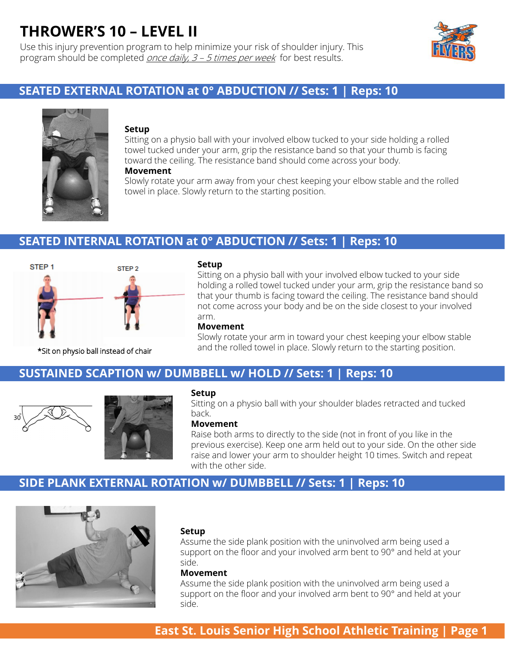Use this injury prevention program to help minimize your risk of shoulder injury. This program should be completed *once daily, 3 – 5 times per week* for best results.



# **SEATED EXTERNAL ROTATION at 0° ABDUCTION // Sets: 1 | Reps: 10**



### **Setup**

Sitting on a physio ball with your involved elbow tucked to your side holding a rolled towel tucked under your arm, grip the resistance band so that your thumb is facing toward the ceiling. The resistance band should come across your body.

### **Movement**

Slowly rotate your arm away from your chest keeping your elbow stable and the rolled towel in place. Slowly return to the starting position.

## **SEATED INTERNAL ROTATION at 0° ABDUCTION // Sets: 1 | Reps: 10**



#### **Setup**

Sitting on a physio ball with your involved elbow tucked to your side holding a rolled towel tucked under your arm, grip the resistance band so that your thumb is facing toward the ceiling. The resistance band should not come across your body and be on the side closest to your involved arm.

### **Movement**

Slowly rotate your arm in toward your chest keeping your elbow stable and the rolled towel in place. Slowly return to the starting position. \*Sit on physio ball instead of chair

### **SUSTAINED SCAPTION w/ DUMBBELL w/ HOLD // Sets: 1 | Reps: 10**





### **Setup**

Sitting on a physio ball with your shoulder blades retracted and tucked back.

### **Movement**

Raise both arms to directly to the side (not in front of you like in the previous exercise). Keep one arm held out to your side. On the other side raise and lower your arm to shoulder height 10 times. Switch and repeat with the other side.

# **SIDE PLANK EXTERNAL ROTATION w/ DUMBBELL // Sets: 1 | Reps: 10**



### **Setup**

Assume the side plank position with the uninvolved arm being used a support on the floor and your involved arm bent to 90° and held at your side.

### **Movement**

Assume the side plank position with the uninvolved arm being used a support on the floor and your involved arm bent to 90° and held at your side.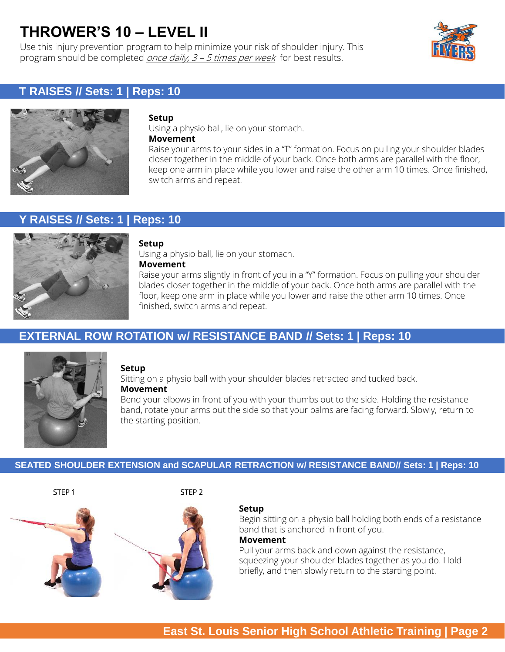Use this injury prevention program to help minimize your risk of shoulder injury. This program should be completed *once daily, 3 - 5 times per week* for best results.



# **T RAISES // Sets: 1 | Reps: 10**



### **Setup**

Using a physio ball, lie on your stomach. **Movement**

Raise your arms to your sides in a "T" formation. Focus on pulling your shoulder blades closer together in the middle of your back. Once both arms are parallel with the floor, keep one arm in place while you lower and raise the other arm 10 times. Once finished, switch arms and repeat.

# **Y RAISES // Sets: 1 | Reps: 10**



### **Setup**

Using a physio ball, lie on your stomach. **Movement**

Raise your arms slightly in front of you in a "Y" formation. Focus on pulling your shoulder blades closer together in the middle of your back. Once both arms are parallel with the floor, keep one arm in place while you lower and raise the other arm 10 times. Once finished, switch arms and repeat.

# **EXTERNAL ROW ROTATION w/ RESISTANCE BAND // Sets: 1 | Reps: 10**



### **Setup**

Sitting on a physio ball with your shoulder blades retracted and tucked back. **Movement**

Bend your elbows in front of you with your thumbs out to the side. Holding the resistance band, rotate your arms out the side so that your palms are facing forward. Slowly, return to the starting position.

### **SEATED SHOULDER EXTENSION and SCAPULAR RETRACTION w/ RESISTANCE BAND// Sets: 1 | Reps: 10**

STEP 1 STEP 2





### **Setup**

Begin sitting on a physio ball holding both ends of a resistance band that is anchored in front of you.

### **Movement**

Pull your arms back and down against the resistance, squeezing your shoulder blades together as you do. Hold briefly, and then slowly return to the starting point.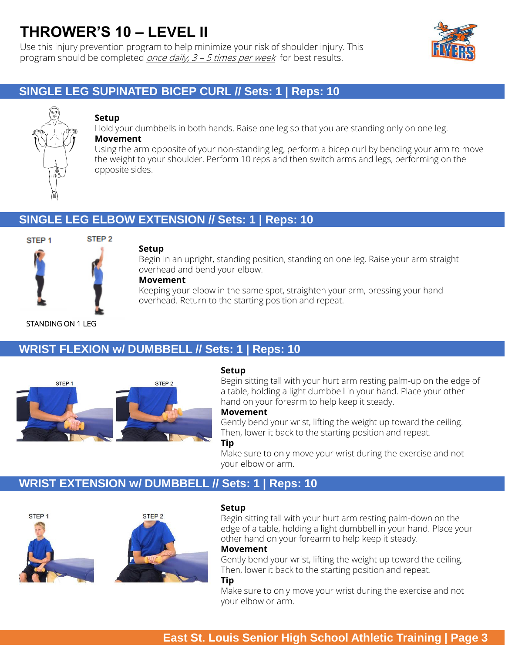Use this injury prevention program to help minimize your risk of shoulder injury. This program should be completed *once daily, 3 – 5 times per week* for best results.



# **SINGLE LEG SUPINATED BICEP CURL // Sets: 1 | Reps: 10**



### **Setup**

Hold your dumbbells in both hands. Raise one leg so that you are standing only on one leg. **Movement**

Using the arm opposite of your non-standing leg, perform a bicep curl by bending your arm to move the weight to your shoulder. Perform 10 reps and then switch arms and legs, performing on the opposite sides.

# **SINGLE LEG ELBOW EXTENSION // Sets: 1 | Reps: 10**



### **Setup**

Begin in an upright, standing position, standing on one leg. Raise your arm straight overhead and bend your elbow.

### **Movement**

Keeping your elbow in the same spot, straighten your arm, pressing your hand overhead. Return to the starting position and repeat.

### STANDING ON 1 LEG

# **WRIST FLEXION w/ DUMBBELL // Sets: 1 | Reps: 10**



### **Setup**

Begin sitting tall with your hurt arm resting palm-up on the edge of a table, holding a light dumbbell in your hand. Place your other hand on your forearm to help keep it steady.

### **Movement**

Gently bend your wrist, lifting the weight up toward the ceiling. Then, lower it back to the starting position and repeat.

### **Tip**

Make sure to only move your wrist during the exercise and not your elbow or arm.

### **WRIST EXTENSION w/ DUMBBELL // Sets: 1 | Reps: 10**



### **Setup**

Begin sitting tall with your hurt arm resting palm-down on the edge of a table, holding a light dumbbell in your hand. Place your other hand on your forearm to help keep it steady.

### **Movement**

Gently bend your wrist, lifting the weight up toward the ceiling. Then, lower it back to the starting position and repeat.

### **Tip**

Make sure to only move your wrist during the exercise and not your elbow or arm.